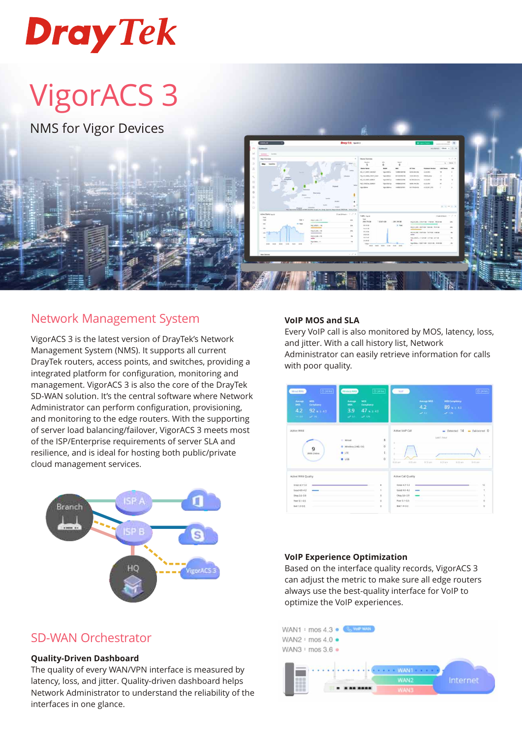# **Dray Tek**

## VigorACS 3

NMS for Vigor Devices

## Network Management System

VigorACS 3 is the latest version of DrayTek's Network Management System (NMS). It supports all current DrayTek routers, access points, and switches, providing a integrated platform for configuration, monitoring and management. VigorACS 3 is also the core of the DrayTek SD-WAN solution. It's the central software where Network Administrator can perform configuration, provisioning, and monitoring to the edge routers. With the supporting of server load balancing/failover, VigorACS 3 meets most of the ISP/Enterprise requirements of server SLA and resilience, and is ideal for hosting both public/private cloud management services.



## SD-WAN Orchestrator

#### **Quality-Driven Dashboard**

The quality of every WAN/VPN interface is measured by latency, loss, and jitter. Quality-driven dashboard helps Network Administrator to understand the reliability of the interfaces in one glance.

#### **VoIP MOS and SLA**

Every VoIP call is also monitored by MOS, latency, loss, and jitter. With a call history list, Network Administrator can easily retrieve information for calls with poor quality.

| <b>O 24 hrs</b><br>Winner WAN<br>sacvs.<br>Amrage<br>MOS<br>Compliancy<br>4.2<br>$92 - 240$<br>$\omega^2$ 1%.<br>$\sim$ 14. | @24m<br>Windest WAN<br><b>MOS</b><br>Acerage<br>MOS<br>Compilency<br>3.9<br>$47 + 240$<br>$\omega_{\rm{max}}$<br>$\Delta P$ . This | 0.446<br>Work in<br>MDS Compliancy<br><b>Average MOS</b><br>4.2<br>$89 + 40$<br><b>Call Call</b><br>$\omega \rightarrow \nu$                                                    |
|-----------------------------------------------------------------------------------------------------------------------------|------------------------------------------------------------------------------------------------------------------------------------|---------------------------------------------------------------------------------------------------------------------------------------------------------------------------------|
| Active WAN<br>9<br>WAN Online                                                                                               | 8<br>- Wired<br>$\bf{0}$<br><b>B</b> Windess 2.4G / 5G<br>1<br>$-17E$<br>$\alpha$<br>0.158                                         | Active Voll <sup>e</sup> Call<br>Detected 14 - Failovered D<br><b>CASE T France</b><br>a.<br>ż<br>$2.53$ and<br><b>Notices</b><br>Schlam<br>\$21 km<br>\$35 am<br><b>Indian</b> |
| Active WAN Quality<br>Great 4.1-5.0<br>Good 4.0-4.2<br>--<br>$0$ kay $36 - 39$<br>$Poor3.1-3.5$<br>Bat 1.0-3.0              | $\mathbf{z}$<br>$\mathbb{R}$<br>$\circ$<br>$\circ$<br>$\mathbb Q$                                                                  | Active Call Quality<br>Great 4.3-5.0<br>12<br>$Good 4.6 - 4.2$<br>×<br>-<br>Dkay 3.6-3.9<br>ı.<br>Foot 3.1-3.5<br>$\alpha$<br>Bad 1.0-3.0<br>$\circ$                            |

#### **VoIP Experience Optimization**

Based on the interface quality records, VigorACS 3 can adjust the metric to make sure all edge routers always use the best-quality interface for VoIP to optimize the VoIP experiences.